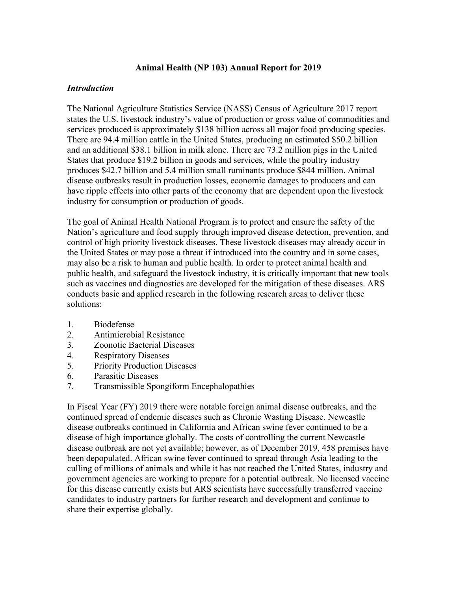# **Animal Health (NP 103) Annual Report for 2019**

# *Introduction*

The National Agriculture Statistics Service (NASS) Census of Agriculture 2017 report states the U.S. livestock industry's value of production or gross value of commodities and services produced is approximately \$138 billion across all major food producing species. There are 94.4 million cattle in the United States, producing an estimated \$50.2 billion and an additional \$38.1 billion in milk alone. There are 73.2 million pigs in the United States that produce \$19.2 billion in goods and services, while the poultry industry produces \$42.7 billion and 5.4 million small ruminants produce \$844 million. Animal disease outbreaks result in production losses, economic damages to producers and can have ripple effects into other parts of the economy that are dependent upon the livestock industry for consumption or production of goods.

The goal of Animal Health National Program is to protect and ensure the safety of the Nation's agriculture and food supply through improved disease detection, prevention, and control of high priority livestock diseases. These livestock diseases may already occur in the United States or may pose a threat if introduced into the country and in some cases, may also be a risk to human and public health. In order to protect animal health and public health, and safeguard the livestock industry, it is critically important that new tools such as vaccines and diagnostics are developed for the mitigation of these diseases. ARS conducts basic and applied research in the following research areas to deliver these solutions:

- 1. Biodefense
- 2. Antimicrobial Resistance
- 3. Zoonotic Bacterial Diseases
- 4. Respiratory Diseases
- 5. Priority Production Diseases
- 6. Parasitic Diseases
- 7. Transmissible Spongiform Encephalopathies

In Fiscal Year (FY) 2019 there were notable foreign animal disease outbreaks, and the continued spread of endemic diseases such as Chronic Wasting Disease. Newcastle disease outbreaks continued in California and African swine fever continued to be a disease of high importance globally. The costs of controlling the current Newcastle disease outbreak are not yet available; however, as of December 2019, 458 premises have been depopulated. African swine fever continued to spread through Asia leading to the culling of millions of animals and while it has not reached the United States, industry and government agencies are working to prepare for a potential outbreak. No licensed vaccine for this disease currently exists but ARS scientists have successfully transferred vaccine candidates to industry partners for further research and development and continue to share their expertise globally.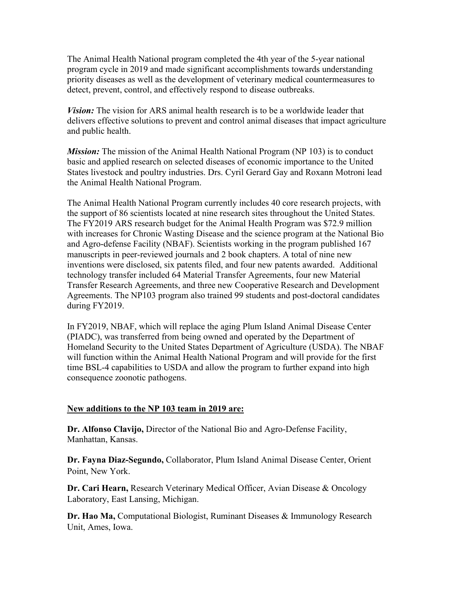The Animal Health National program completed the 4th year of the 5-year national program cycle in 2019 and made significant accomplishments towards understanding priority diseases as well as the development of veterinary medical countermeasures to detect, prevent, control, and effectively respond to disease outbreaks.

*Vision:* The vision for ARS animal health research is to be a worldwide leader that delivers effective solutions to prevent and control animal diseases that impact agriculture and public health.

*Mission:* The mission of the Animal Health National Program (NP 103) is to conduct basic and applied research on selected diseases of economic importance to the United States livestock and poultry industries. Drs. Cyril Gerard Gay and Roxann Motroni lead the Animal Health National Program.

The Animal Health National Program currently includes 40 core research projects, with the support of 86 scientists located at nine research sites throughout the United States. The FY2019 ARS research budget for the Animal Health Program was \$72.9 million with increases for Chronic Wasting Disease and the science program at the National Bio and Agro-defense Facility (NBAF). Scientists working in the program published 167 manuscripts in peer-reviewed journals and 2 book chapters. A total of nine new inventions were disclosed, six patents filed, and four new patents awarded. Additional technology transfer included 64 Material Transfer Agreements, four new Material Transfer Research Agreements, and three new Cooperative Research and Development Agreements. The NP103 program also trained 99 students and post-doctoral candidates during FY2019.

In FY2019, NBAF, which will replace the aging Plum Island Animal Disease Center (PIADC), was transferred from being owned and operated by the Department of Homeland Security to the United States Department of Agriculture (USDA). The NBAF will function within the Animal Health National Program and will provide for the first time BSL-4 capabilities to USDA and allow the program to further expand into high consequence zoonotic pathogens.

## **New additions to the NP 103 team in 2019 are:**

**Dr. Alfonso Clavijo,** Director of the National Bio and Agro-Defense Facility, Manhattan, Kansas.

**Dr. Fayna Diaz-Segundo,** Collaborator, Plum Island Animal Disease Center, Orient Point, New York.

**Dr. Cari Hearn,** Research Veterinary Medical Officer, Avian Disease & Oncology Laboratory, East Lansing, Michigan.

**Dr. Hao Ma,** Computational Biologist, Ruminant Diseases & Immunology Research Unit, Ames, Iowa.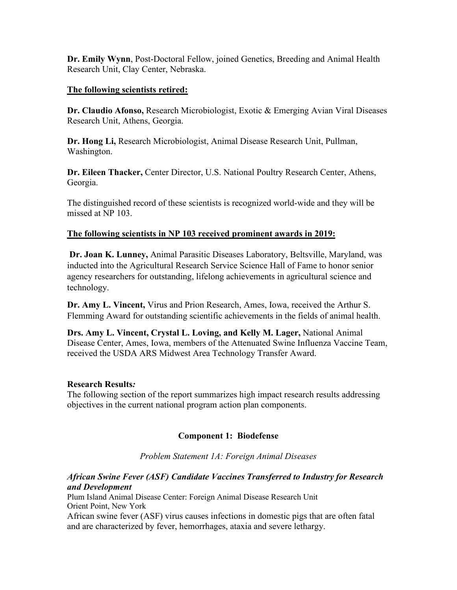**Dr. Emily Wynn**, Post-Doctoral Fellow, joined Genetics, Breeding and Animal Health Research Unit, Clay Center, Nebraska.

# **The following scientists retired:**

**Dr. Claudio Afonso,** Research Microbiologist, Exotic & Emerging Avian Viral Diseases Research Unit, Athens, Georgia.

**Dr. Hong Li,** Research Microbiologist, Animal Disease Research Unit, Pullman, Washington.

**Dr. Eileen Thacker,** Center Director, U.S. National Poultry Research Center, Athens, Georgia.

The distinguished record of these scientists is recognized world-wide and they will be missed at NP 103.

# **The following scientists in NP 103 received prominent awards in 2019:**

**Dr. Joan K. Lunney,** Animal Parasitic Diseases Laboratory, Beltsville, Maryland, was inducted into the Agricultural Research Service Science Hall of Fame to honor senior agency researchers for outstanding, lifelong achievements in agricultural science and technology.

**Dr. Amy L. Vincent,** Virus and Prion Research, Ames, Iowa, received the Arthur S. Flemming Award for outstanding scientific achievements in the fields of animal health.

**Drs. Amy L. Vincent, Crystal L. Loving, and Kelly M. Lager,** National Animal Disease Center, Ames, Iowa, members of the Attenuated Swine Influenza Vaccine Team, received the USDA ARS Midwest Area Technology Transfer Award.

## **Research Results***:*

The following section of the report summarizes high impact research results addressing objectives in the current national program action plan components.

# **Component 1: Biodefense**

*Problem Statement 1A: Foreign Animal Diseases*

# *African Swine Fever (ASF) Candidate Vaccines Transferred to Industry for Research and Development*

Plum Island Animal Disease Center: Foreign Animal Disease Research Unit Orient Point, New York

African swine fever (ASF) virus causes infections in domestic pigs that are often fatal and are characterized by fever, hemorrhages, ataxia and severe lethargy.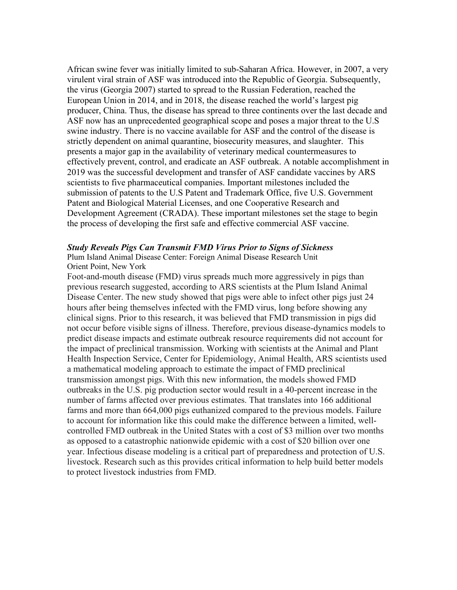African swine fever was initially limited to sub-Saharan Africa. However, in 2007, a very virulent viral strain of ASF was introduced into the Republic of Georgia. Subsequently, the virus (Georgia 2007) started to spread to the Russian Federation, reached the European Union in 2014, and in 2018, the disease reached the world's largest pig producer, China. Thus, the disease has spread to three continents over the last decade and ASF now has an unprecedented geographical scope and poses a major threat to the U.S swine industry. There is no vaccine available for ASF and the control of the disease is strictly dependent on animal quarantine, biosecurity measures, and slaughter. This presents a major gap in the availability of veterinary medical countermeasures to effectively prevent, control, and eradicate an ASF outbreak. A notable accomplishment in 2019 was the successful development and transfer of ASF candidate vaccines by ARS scientists to five pharmaceutical companies. Important milestones included the submission of patents to the U.S Patent and Trademark Office, five U.S. Government Patent and Biological Material Licenses, and one Cooperative Research and Development Agreement (CRADA). These important milestones set the stage to begin the process of developing the first safe and effective commercial ASF vaccine.

### *Study Reveals Pigs Can Transmit FMD Virus Prior to Signs of Sickness*

Plum Island Animal Disease Center: Foreign Animal Disease Research Unit Orient Point, New York

Foot-and-mouth disease (FMD) virus spreads much more aggressively in pigs than previous research suggested, according to ARS scientists at the Plum Island Animal Disease Center. The new study showed that pigs were able to infect other pigs just 24 hours after being themselves infected with the FMD virus, long before showing any clinical signs. Prior to this research, it was believed that FMD transmission in pigs did not occur before visible signs of illness. Therefore, previous disease-dynamics models to predict disease impacts and estimate outbreak resource requirements did not account for the impact of preclinical transmission. Working with scientists at the Animal and Plant Health Inspection Service, Center for Epidemiology, Animal Health, ARS scientists used a mathematical modeling approach to estimate the impact of FMD preclinical transmission amongst pigs. With this new information, the models showed FMD outbreaks in the U.S. pig production sector would result in a 40-percent increase in the number of farms affected over previous estimates. That translates into 166 additional farms and more than 664,000 pigs euthanized compared to the previous models. Failure to account for information like this could make the difference between a limited, wellcontrolled FMD outbreak in the United States with a cost of \$3 million over two months as opposed to a catastrophic nationwide epidemic with a cost of \$20 billion over one year. Infectious disease modeling is a critical part of preparedness and protection of U.S. livestock. Research such as this provides critical information to help build better models to protect livestock industries from FMD.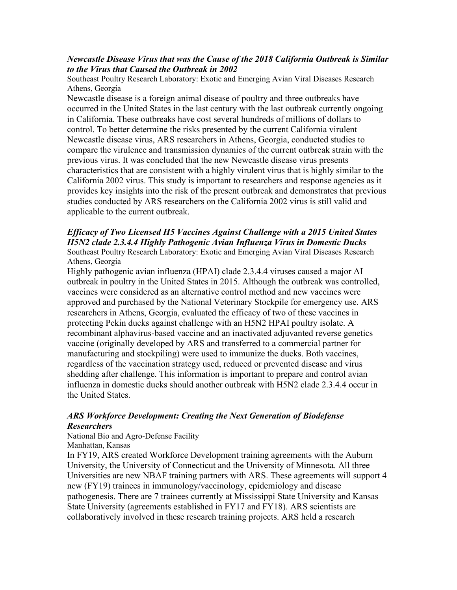# *Newcastle Disease Virus that was the Cause of the 2018 California Outbreak is Similar to the Virus that Caused the Outbreak in 2002*

Southeast Poultry Research Laboratory: Exotic and Emerging Avian Viral Diseases Research Athens, Georgia

Newcastle disease is a foreign animal disease of poultry and three outbreaks have occurred in the United States in the last century with the last outbreak currently ongoing in California. These outbreaks have cost several hundreds of millions of dollars to control. To better determine the risks presented by the current California virulent Newcastle disease virus, ARS researchers in Athens, Georgia, conducted studies to compare the virulence and transmission dynamics of the current outbreak strain with the previous virus. It was concluded that the new Newcastle disease virus presents characteristics that are consistent with a highly virulent virus that is highly similar to the California 2002 virus. This study is important to researchers and response agencies as it provides key insights into the risk of the present outbreak and demonstrates that previous studies conducted by ARS researchers on the California 2002 virus is still valid and applicable to the current outbreak.

### *Efficacy of Two Licensed H5 Vaccines Against Challenge with a 2015 United States H5N2 clade 2.3.4.4 Highly Pathogenic Avian Influenza Virus in Domestic Ducks* Southeast Poultry Research Laboratory: Exotic and Emerging Avian Viral Diseases Research Athens, Georgia

Highly pathogenic avian influenza (HPAI) clade 2.3.4.4 viruses caused a major AI outbreak in poultry in the United States in 2015. Although the outbreak was controlled, vaccines were considered as an alternative control method and new vaccines were approved and purchased by the National Veterinary Stockpile for emergency use. ARS researchers in Athens, Georgia, evaluated the efficacy of two of these vaccines in protecting Pekin ducks against challenge with an H5N2 HPAI poultry isolate. A recombinant alphavirus-based vaccine and an inactivated adjuvanted reverse genetics vaccine (originally developed by ARS and transferred to a commercial partner for manufacturing and stockpiling) were used to immunize the ducks. Both vaccines, regardless of the vaccination strategy used, reduced or prevented disease and virus shedding after challenge. This information is important to prepare and control avian influenza in domestic ducks should another outbreak with H5N2 clade 2.3.4.4 occur in the United States.

# *ARS Workforce Development: Creating the Next Generation of Biodefense Researchers*

National Bio and Agro-Defense Facility

Manhattan, Kansas

In FY19, ARS created Workforce Development training agreements with the Auburn University, the University of Connecticut and the University of Minnesota. All three Universities are new NBAF training partners with ARS. These agreements will support 4 new (FY19) trainees in immunology/vaccinology, epidemiology and disease pathogenesis. There are 7 trainees currently at Mississippi State University and Kansas State University (agreements established in FY17 and FY18). ARS scientists are collaboratively involved in these research training projects. ARS held a research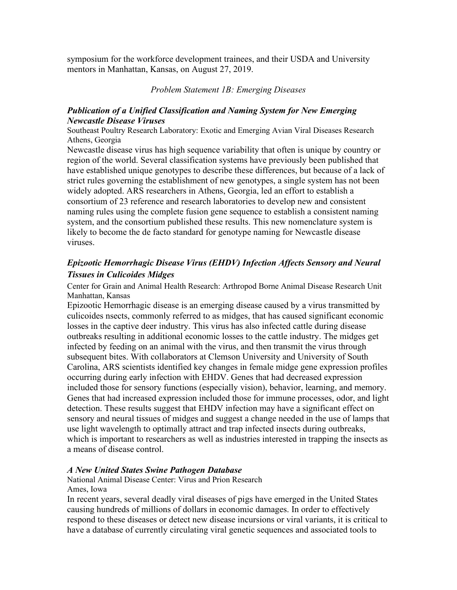symposium for the workforce development trainees, and their USDA and University mentors in Manhattan, Kansas, on August 27, 2019.

## *Problem Statement 1B: Emerging Diseases*

# *Publication of a Unified Classification and Naming System for New Emerging Newcastle Disease Viruses*

Southeast Poultry Research Laboratory: Exotic and Emerging Avian Viral Diseases Research Athens, Georgia

Newcastle disease virus has high sequence variability that often is unique by country or region of the world. Several classification systems have previously been published that have established unique genotypes to describe these differences, but because of a lack of strict rules governing the establishment of new genotypes, a single system has not been widely adopted. ARS researchers in Athens, Georgia, led an effort to establish a consortium of 23 reference and research laboratories to develop new and consistent naming rules using the complete fusion gene sequence to establish a consistent naming system, and the consortium published these results. This new nomenclature system is likely to become the de facto standard for genotype naming for Newcastle disease viruses.

# *Epizootic Hemorrhagic Disease Virus (EHDV) Infection Affects Sensory and Neural Tissues in Culicoides Midges*

Center for Grain and Animal Health Research: Arthropod Borne Animal Disease Research Unit Manhattan, Kansas

Epizootic Hemorrhagic disease is an emerging disease caused by a virus transmitted by culicoides nsects, commonly referred to as midges, that has caused significant economic losses in the captive deer industry. This virus has also infected cattle during disease outbreaks resulting in additional economic losses to the cattle industry. The midges get infected by feeding on an animal with the virus, and then transmit the virus through subsequent bites. With collaborators at Clemson University and University of South Carolina, ARS scientists identified key changes in female midge gene expression profiles occurring during early infection with EHDV. Genes that had decreased expression included those for sensory functions (especially vision), behavior, learning, and memory. Genes that had increased expression included those for immune processes, odor, and light detection. These results suggest that EHDV infection may have a significant effect on sensory and neural tissues of midges and suggest a change needed in the use of lamps that use light wavelength to optimally attract and trap infected insects during outbreaks, which is important to researchers as well as industries interested in trapping the insects as a means of disease control.

## *A New United States Swine Pathogen Database*

National Animal Disease Center: Virus and Prion Research Ames, Iowa

In recent years, several deadly viral diseases of pigs have emerged in the United States causing hundreds of millions of dollars in economic damages. In order to effectively respond to these diseases or detect new disease incursions or viral variants, it is critical to have a database of currently circulating viral genetic sequences and associated tools to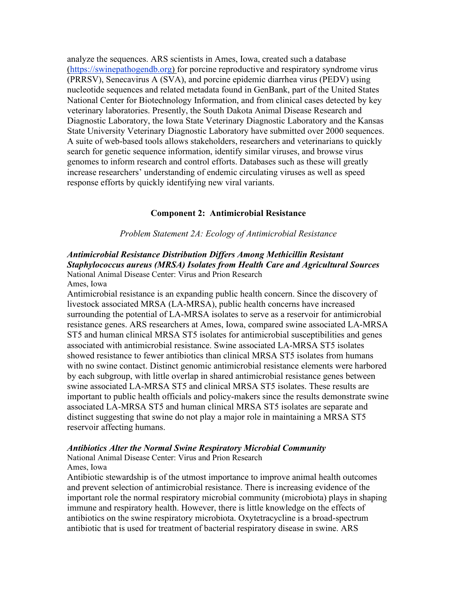analyze the sequences. ARS scientists in Ames, Iowa, created such a database [\(https://swinepathogendb.org\)](https://swinepathogendb.org/) for porcine reproductive and respiratory syndrome virus (PRRSV), Senecavirus A (SVA), and porcine epidemic diarrhea virus (PEDV) using nucleotide sequences and related metadata found in GenBank, part of the United States National Center for Biotechnology Information, and from clinical cases detected by key veterinary laboratories. Presently, the South Dakota Animal Disease Research and Diagnostic Laboratory, the Iowa State Veterinary Diagnostic Laboratory and the Kansas State University Veterinary Diagnostic Laboratory have submitted over 2000 sequences. A suite of web-based tools allows stakeholders, researchers and veterinarians to quickly search for genetic sequence information, identify similar viruses, and browse virus genomes to inform research and control efforts. Databases such as these will greatly increase researchers' understanding of endemic circulating viruses as well as speed response efforts by quickly identifying new viral variants.

### **Component 2: Antimicrobial Resistance**

#### *Problem Statement 2A: Ecology of Antimicrobial Resistance*

### *Antimicrobial Resistance Distribution Differs Among Methicillin Resistant Staphylococcus aureus (MRSA) Isolates from Health Care and Agricultural Sources* National Animal Disease Center: Virus and Prion Research Ames, Iowa

Antimicrobial resistance is an expanding public health concern. Since the discovery of livestock associated MRSA (LA-MRSA), public health concerns have increased surrounding the potential of LA-MRSA isolates to serve as a reservoir for antimicrobial resistance genes. ARS researchers at Ames, Iowa, compared swine associated LA-MRSA ST5 and human clinical MRSA ST5 isolates for antimicrobial susceptibilities and genes associated with antimicrobial resistance. Swine associated LA-MRSA ST5 isolates showed resistance to fewer antibiotics than clinical MRSA ST5 isolates from humans with no swine contact. Distinct genomic antimicrobial resistance elements were harbored by each subgroup, with little overlap in shared antimicrobial resistance genes between swine associated LA-MRSA ST5 and clinical MRSA ST5 isolates. These results are important to public health officials and policy-makers since the results demonstrate swine associated LA-MRSA ST5 and human clinical MRSA ST5 isolates are separate and distinct suggesting that swine do not play a major role in maintaining a MRSA ST5 reservoir affecting humans.

### *Antibiotics Alter the Normal Swine Respiratory Microbial Community*

National Animal Disease Center: Virus and Prion Research Ames, Iowa

Antibiotic stewardship is of the utmost importance to improve animal health outcomes and prevent selection of antimicrobial resistance. There is increasing evidence of the important role the normal respiratory microbial community (microbiota) plays in shaping immune and respiratory health. However, there is little knowledge on the effects of antibiotics on the swine respiratory microbiota. Oxytetracycline is a broad-spectrum antibiotic that is used for treatment of bacterial respiratory disease in swine. ARS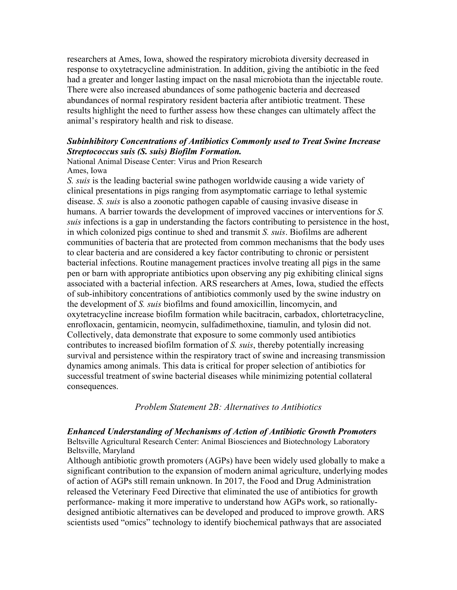researchers at Ames, Iowa, showed the respiratory microbiota diversity decreased in response to oxytetracycline administration. In addition, giving the antibiotic in the feed had a greater and longer lasting impact on the nasal microbiota than the injectable route. There were also increased abundances of some pathogenic bacteria and decreased abundances of normal respiratory resident bacteria after antibiotic treatment. These results highlight the need to further assess how these changes can ultimately affect the animal's respiratory health and risk to disease.

# *Subinhibitory Concentrations of Antibiotics Commonly used to Treat Swine Increase Streptococcus suis (S. suis) Biofilm Formation.*

National Animal Disease Center: Virus and Prion Research Ames, Iowa

*S. suis* is the leading bacterial swine pathogen worldwide causing a wide variety of clinical presentations in pigs ranging from asymptomatic carriage to lethal systemic disease. *S. suis* is also a zoonotic pathogen capable of causing invasive disease in humans. A barrier towards the development of improved vaccines or interventions for *S. suis* infections is a gap in understanding the factors contributing to persistence in the host, in which colonized pigs continue to shed and transmit *S. suis*. Biofilms are adherent communities of bacteria that are protected from common mechanisms that the body uses to clear bacteria and are considered a key factor contributing to chronic or persistent bacterial infections. Routine management practices involve treating all pigs in the same pen or barn with appropriate antibiotics upon observing any pig exhibiting clinical signs associated with a bacterial infection. ARS researchers at Ames, Iowa, studied the effects of sub-inhibitory concentrations of antibiotics commonly used by the swine industry on the development of *S. suis* biofilms and found amoxicillin, lincomycin, and oxytetracycline increase biofilm formation while bacitracin, carbadox, chlortetracycline, enrofloxacin, gentamicin, neomycin, sulfadimethoxine, tiamulin, and tylosin did not. Collectively, data demonstrate that exposure to some commonly used antibiotics contributes to increased biofilm formation of *S. suis*, thereby potentially increasing survival and persistence within the respiratory tract of swine and increasing transmission dynamics among animals. This data is critical for proper selection of antibiotics for successful treatment of swine bacterial diseases while minimizing potential collateral consequences.

*Problem Statement 2B: Alternatives to Antibiotics*

### *Enhanced Understanding of Mechanisms of Action of Antibiotic Growth Promoters*  Beltsville Agricultural Research Center: Animal Biosciences and Biotechnology Laboratory Beltsville, Maryland

Although antibiotic growth promoters (AGPs) have been widely used globally to make a significant contribution to the expansion of modern animal agriculture, underlying modes of action of AGPs still remain unknown. In 2017, the Food and Drug Administration released the Veterinary Feed Directive that eliminated the use of antibiotics for growth performance- making it more imperative to understand how AGPs work, so rationallydesigned antibiotic alternatives can be developed and produced to improve growth. ARS scientists used "omics" technology to identify biochemical pathways that are associated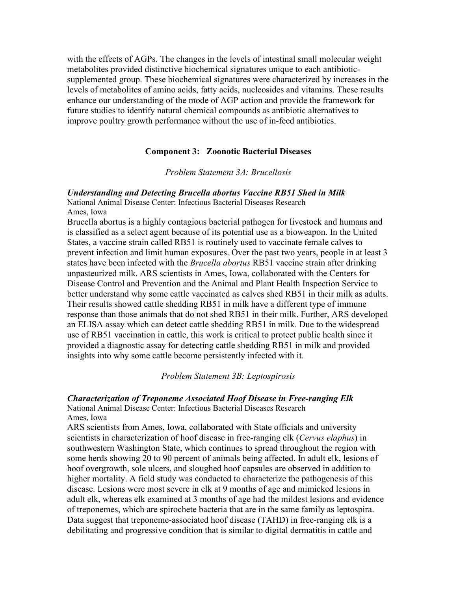with the effects of AGPs. The changes in the levels of intestinal small molecular weight metabolites provided distinctive biochemical signatures unique to each antibioticsupplemented group. These biochemical signatures were characterized by increases in the levels of metabolites of amino acids, fatty acids, nucleosides and vitamins. These results enhance our understanding of the mode of AGP action and provide the framework for future studies to identify natural chemical compounds as antibiotic alternatives to improve poultry growth performance without the use of in-feed antibiotics.

### **Component 3: Zoonotic Bacterial Diseases**

### *Problem Statement 3A: Brucellosis*

*Understanding and Detecting Brucella abortus Vaccine RB51 Shed in Milk* National Animal Disease Center: Infectious Bacterial Diseases Research

Ames, Iowa

Brucella abortus is a highly contagious bacterial pathogen for livestock and humans and is classified as a select agent because of its potential use as a bioweapon. In the United States, a vaccine strain called RB51 is routinely used to vaccinate female calves to prevent infection and limit human exposures. Over the past two years, people in at least 3 states have been infected with the *Brucella abortus* RB51 vaccine strain after drinking unpasteurized milk. ARS scientists in Ames, Iowa, collaborated with the Centers for Disease Control and Prevention and the Animal and Plant Health Inspection Service to better understand why some cattle vaccinated as calves shed RB51 in their milk as adults. Their results showed cattle shedding RB51 in milk have a different type of immune response than those animals that do not shed RB51 in their milk. Further, ARS developed an ELISA assay which can detect cattle shedding RB51 in milk. Due to the widespread use of RB51 vaccination in cattle, this work is critical to protect public health since it provided a diagnostic assay for detecting cattle shedding RB51 in milk and provided insights into why some cattle become persistently infected with it.

#### *Problem Statement 3B: Leptospirosis*

### *Characterization of Treponeme Associated Hoof Disease in Free-ranging Elk*

National Animal Disease Center: Infectious Bacterial Diseases Research Ames, Iowa

ARS scientists from Ames, Iowa, collaborated with State officials and university scientists in characterization of hoof disease in free-ranging elk (*Cervus elaphus*) in southwestern Washington State, which continues to spread throughout the region with some herds showing 20 to 90 percent of animals being affected. In adult elk, lesions of hoof overgrowth, sole ulcers, and sloughed hoof capsules are observed in addition to higher mortality. A field study was conducted to characterize the pathogenesis of this disease. Lesions were most severe in elk at 9 months of age and mimicked lesions in adult elk, whereas elk examined at 3 months of age had the mildest lesions and evidence of treponemes, which are spirochete bacteria that are in the same family as leptospira. Data suggest that treponeme-associated hoof disease (TAHD) in free-ranging elk is a debilitating and progressive condition that is similar to digital dermatitis in cattle and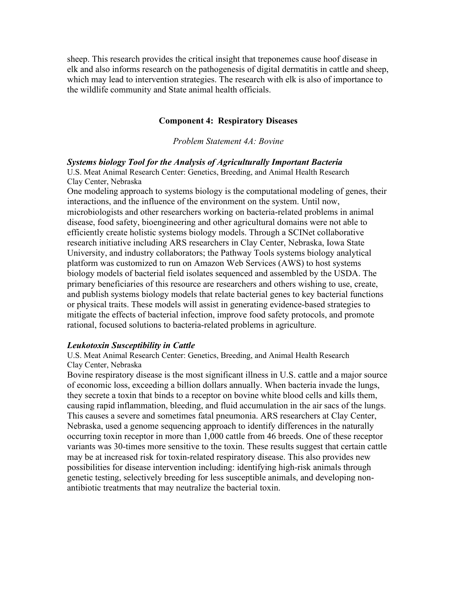sheep. This research provides the critical insight that treponemes cause hoof disease in elk and also informs research on the pathogenesis of digital dermatitis in cattle and sheep, which may lead to intervention strategies. The research with elk is also of importance to the wildlife community and State animal health officials.

### **Component 4: Respiratory Diseases**

*Problem Statement 4A: Bovine*

#### *Systems biology Tool for the Analysis of Agriculturally Important Bacteria*

U.S. Meat Animal Research Center: Genetics, Breeding, and Animal Health Research Clay Center, Nebraska

One modeling approach to systems biology is the computational modeling of genes, their interactions, and the influence of the environment on the system. Until now, microbiologists and other researchers working on bacteria-related problems in animal disease, food safety, bioengineering and other agricultural domains were not able to efficiently create holistic systems biology models. Through a SCINet collaborative research initiative including ARS researchers in Clay Center, Nebraska, Iowa State University, and industry collaborators; the Pathway Tools systems biology analytical platform was customized to run on Amazon Web Services (AWS) to host systems biology models of bacterial field isolates sequenced and assembled by the USDA. The primary beneficiaries of this resource are researchers and others wishing to use, create, and publish systems biology models that relate bacterial genes to key bacterial functions or physical traits. These models will assist in generating evidence-based strategies to mitigate the effects of bacterial infection, improve food safety protocols, and promote rational, focused solutions to bacteria-related problems in agriculture.

#### *Leukotoxin Susceptibility in Cattle*

U.S. Meat Animal Research Center: Genetics, Breeding, and Animal Health Research Clay Center, Nebraska

Bovine respiratory disease is the most significant illness in U.S. cattle and a major source of economic loss, exceeding a billion dollars annually. When bacteria invade the lungs, they secrete a toxin that binds to a receptor on bovine white blood cells and kills them, causing rapid inflammation, bleeding, and fluid accumulation in the air sacs of the lungs. This causes a severe and sometimes fatal pneumonia. ARS researchers at Clay Center, Nebraska, used a genome sequencing approach to identify differences in the naturally occurring toxin receptor in more than 1,000 cattle from 46 breeds. One of these receptor variants was 30-times more sensitive to the toxin. These results suggest that certain cattle may be at increased risk for toxin-related respiratory disease. This also provides new possibilities for disease intervention including: identifying high-risk animals through genetic testing, selectively breeding for less susceptible animals, and developing nonantibiotic treatments that may neutralize the bacterial toxin.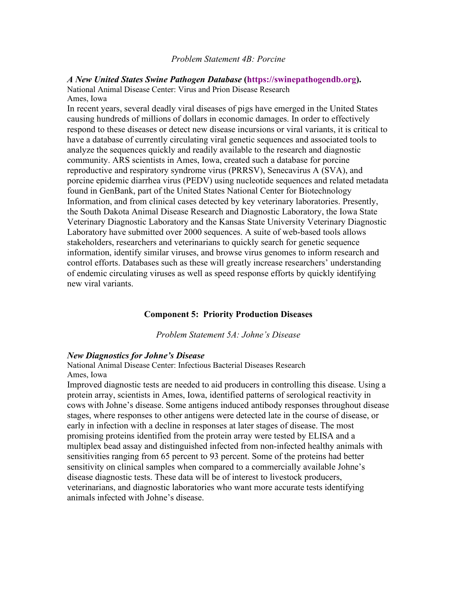#### *Problem Statement 4B: Porcine*

#### *A New United States Swine Pathogen Database* **[\(https://swinepathogendb.org\)](https://swinepathogendb.org/).**

National Animal Disease Center: Virus and Prion Disease Research Ames, Iowa

In recent years, several deadly viral diseases of pigs have emerged in the United States causing hundreds of millions of dollars in economic damages. In order to effectively respond to these diseases or detect new disease incursions or viral variants, it is critical to have a database of currently circulating viral genetic sequences and associated tools to analyze the sequences quickly and readily available to the research and diagnostic community. ARS scientists in Ames, Iowa, created such a database for porcine reproductive and respiratory syndrome virus (PRRSV), Senecavirus A (SVA), and porcine epidemic diarrhea virus (PEDV) using nucleotide sequences and related metadata found in GenBank, part of the United States National Center for Biotechnology Information, and from clinical cases detected by key veterinary laboratories. Presently, the South Dakota Animal Disease Research and Diagnostic Laboratory, the Iowa State Veterinary Diagnostic Laboratory and the Kansas State University Veterinary Diagnostic Laboratory have submitted over 2000 sequences. A suite of web-based tools allows stakeholders, researchers and veterinarians to quickly search for genetic sequence information, identify similar viruses, and browse virus genomes to inform research and control efforts. Databases such as these will greatly increase researchers' understanding of endemic circulating viruses as well as speed response efforts by quickly identifying new viral variants.

### **Component 5: Priority Production Diseases**

*Problem Statement 5A: Johne's Disease*

### *New Diagnostics for Johne's Disease*

National Animal Disease Center: Infectious Bacterial Diseases Research Ames, Iowa

Improved diagnostic tests are needed to aid producers in controlling this disease. Using a protein array, scientists in Ames, Iowa, identified patterns of serological reactivity in cows with Johne's disease. Some antigens induced antibody responses throughout disease stages, where responses to other antigens were detected late in the course of disease, or early in infection with a decline in responses at later stages of disease. The most promising proteins identified from the protein array were tested by ELISA and a multiplex bead assay and distinguished infected from non-infected healthy animals with sensitivities ranging from 65 percent to 93 percent. Some of the proteins had better sensitivity on clinical samples when compared to a commercially available Johne's disease diagnostic tests. These data will be of interest to livestock producers, veterinarians, and diagnostic laboratories who want more accurate tests identifying animals infected with Johne's disease.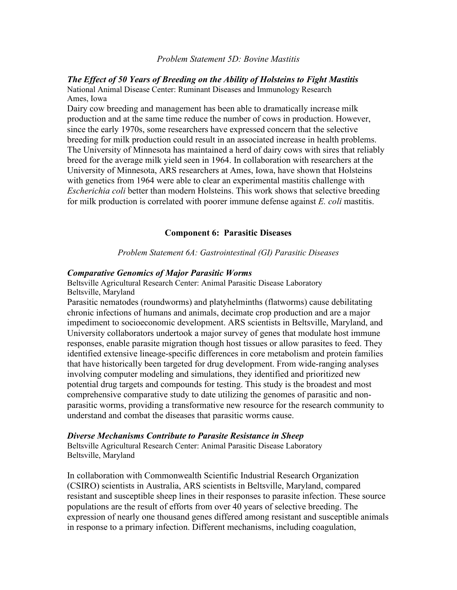#### *Problem Statement 5D: Bovine Mastitis*

# *The Effect of 50 Years of Breeding on the Ability of Holsteins to Fight Mastitis* National Animal Disease Center: Ruminant Diseases and Immunology Research

Ames, Iowa Dairy cow breeding and management has been able to dramatically increase milk production and at the same time reduce the number of cows in production. However, since the early 1970s, some researchers have expressed concern that the selective breeding for milk production could result in an associated increase in health problems. The University of Minnesota has maintained a herd of dairy cows with sires that reliably breed for the average milk yield seen in 1964. In collaboration with researchers at the University of Minnesota, ARS researchers at Ames, Iowa, have shown that Holsteins with genetics from 1964 were able to clear an experimental mastitis challenge with *Escherichia coli* better than modern Holsteins. This work shows that selective breeding for milk production is correlated with poorer immune defense against *E. coli* mastitis.

### **Component 6: Parasitic Diseases**

*Problem Statement 6A: Gastrointestinal (GI) Parasitic Diseases*

#### *Comparative Genomics of Major Parasitic Worms*

Beltsville Agricultural Research Center: Animal Parasitic Disease Laboratory Beltsville, Maryland

Parasitic nematodes (roundworms) and platyhelminths (flatworms) cause debilitating chronic infections of humans and animals, decimate crop production and are a major impediment to socioeconomic development. ARS scientists in Beltsville, Maryland, and University collaborators undertook a major survey of genes that modulate host immune responses, enable parasite migration though host tissues or allow parasites to feed. They identified extensive lineage-specific differences in core metabolism and protein families that have historically been targeted for drug development. From wide-ranging analyses involving computer modeling and simulations, they identified and prioritized new potential drug targets and compounds for testing. This study is the broadest and most comprehensive comparative study to date utilizing the genomes of parasitic and nonparasitic worms, providing a transformative new resource for the research community to understand and combat the diseases that parasitic worms cause.

#### *Diverse Mechanisms Contribute to Parasite Resistance in Sheep*

Beltsville Agricultural Research Center: Animal Parasitic Disease Laboratory Beltsville, Maryland

In collaboration with Commonwealth Scientific Industrial Research Organization (CSIRO) scientists in Australia, ARS scientists in Beltsville, Maryland, compared resistant and susceptible sheep lines in their responses to parasite infection. These source populations are the result of efforts from over 40 years of selective breeding. The expression of nearly one thousand genes differed among resistant and susceptible animals in response to a primary infection. Different mechanisms, including coagulation,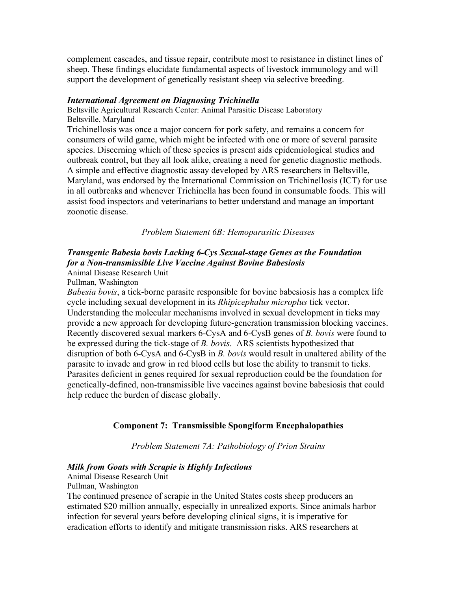complement cascades, and tissue repair, contribute most to resistance in distinct lines of sheep. These findings elucidate fundamental aspects of livestock immunology and will support the development of genetically resistant sheep via selective breeding.

### *International Agreement on Diagnosing Trichinella*

Beltsville Agricultural Research Center: Animal Parasitic Disease Laboratory Beltsville, Maryland

Trichinellosis was once a major concern for pork safety, and remains a concern for consumers of wild game, which might be infected with one or more of several parasite species. Discerning which of these species is present aids epidemiological studies and outbreak control, but they all look alike, creating a need for genetic diagnostic methods. A simple and effective diagnostic assay developed by ARS researchers in Beltsville, Maryland, was endorsed by the International Commission on Trichinellosis (ICT) for use in all outbreaks and whenever Trichinella has been found in consumable foods. This will assist food inspectors and veterinarians to better understand and manage an important zoonotic disease.

*Problem Statement 6B: Hemoparasitic Diseases*

# *Transgenic Babesia bovis Lacking 6-Cys Sexual-stage Genes as the Foundation for a Non-transmissible Live Vaccine Against Bovine Babesiosis*

Animal Disease Research Unit

Pullman, Washington

*Babesia bovis*, a tick-borne parasite responsible for bovine babesiosis has a complex life cycle including sexual development in its *Rhipicephalus microplus* tick vector. Understanding the molecular mechanisms involved in sexual development in ticks may provide a new approach for developing future-generation transmission blocking vaccines. Recently discovered sexual markers 6-CysA and 6-CysB genes of *B. bovis* were found to be expressed during the tick-stage of *B. bovis*. ARS scientists hypothesized that disruption of both 6-CysA and 6-CysB in *B. bovis* would result in unaltered ability of the parasite to invade and grow in red blood cells but lose the ability to transmit to ticks. Parasites deficient in genes required for sexual reproduction could be the foundation for genetically-defined, non-transmissible live vaccines against bovine babesiosis that could help reduce the burden of disease globally.

## **Component 7: Transmissible Spongiform Encephalopathies**

*Problem Statement 7A: Pathobiology of Prion Strains*

### *Milk from Goats with Scrapie is Highly Infectious*

Animal Disease Research Unit

Pullman, Washington

The continued presence of scrapie in the United States costs sheep producers an estimated \$20 million annually, especially in unrealized exports. Since animals harbor infection for several years before developing clinical signs, it is imperative for eradication efforts to identify and mitigate transmission risks. ARS researchers at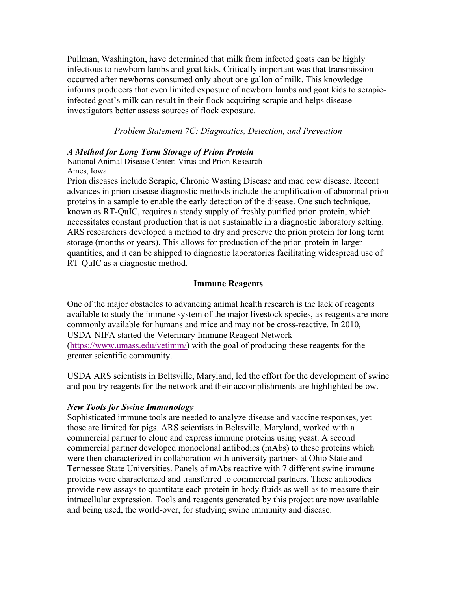Pullman, Washington, have determined that milk from infected goats can be highly infectious to newborn lambs and goat kids. Critically important was that transmission occurred after newborns consumed only about one gallon of milk. This knowledge informs producers that even limited exposure of newborn lambs and goat kids to scrapieinfected goat's milk can result in their flock acquiring scrapie and helps disease investigators better assess sources of flock exposure.

*Problem Statement 7C: Diagnostics, Detection, and Prevention*

# *A Method for Long Term Storage of Prion Protein*

National Animal Disease Center: Virus and Prion Research Ames, Iowa

Prion diseases include Scrapie, Chronic Wasting Disease and mad cow disease. Recent advances in prion disease diagnostic methods include the amplification of abnormal prion proteins in a sample to enable the early detection of the disease. One such technique, known as RT-QuIC, requires a steady supply of freshly purified prion protein, which necessitates constant production that is not sustainable in a diagnostic laboratory setting. ARS researchers developed a method to dry and preserve the prion protein for long term storage (months or years). This allows for production of the prion protein in larger quantities, and it can be shipped to diagnostic laboratories facilitating widespread use of RT-QuIC as a diagnostic method.

# **Immune Reagents**

One of the major obstacles to advancing animal health research is the lack of reagents available to study the immune system of the major livestock species, as reagents are more commonly available for humans and mice and may not be cross-reactive. In 2010, USDA-NIFA started the Veterinary Immune Reagent Network [\(https://www.umass.edu/vetimm/\)](https://www.umass.edu/vetimm/) with the goal of producing these reagents for the greater scientific community.

USDA ARS scientists in Beltsville, Maryland, led the effort for the development of swine and poultry reagents for the network and their accomplishments are highlighted below.

## *New Tools for Swine Immunology*

Sophisticated immune tools are needed to analyze disease and vaccine responses, yet those are limited for pigs. ARS scientists in Beltsville, Maryland, worked with a commercial partner to clone and express immune proteins using yeast. A second commercial partner developed monoclonal antibodies (mAbs) to these proteins which were then characterized in collaboration with university partners at Ohio State and Tennessee State Universities. Panels of mAbs reactive with 7 different swine immune proteins were characterized and transferred to commercial partners. These antibodies provide new assays to quantitate each protein in body fluids as well as to measure their intracellular expression. Tools and reagents generated by this project are now available and being used, the world-over, for studying swine immunity and disease.